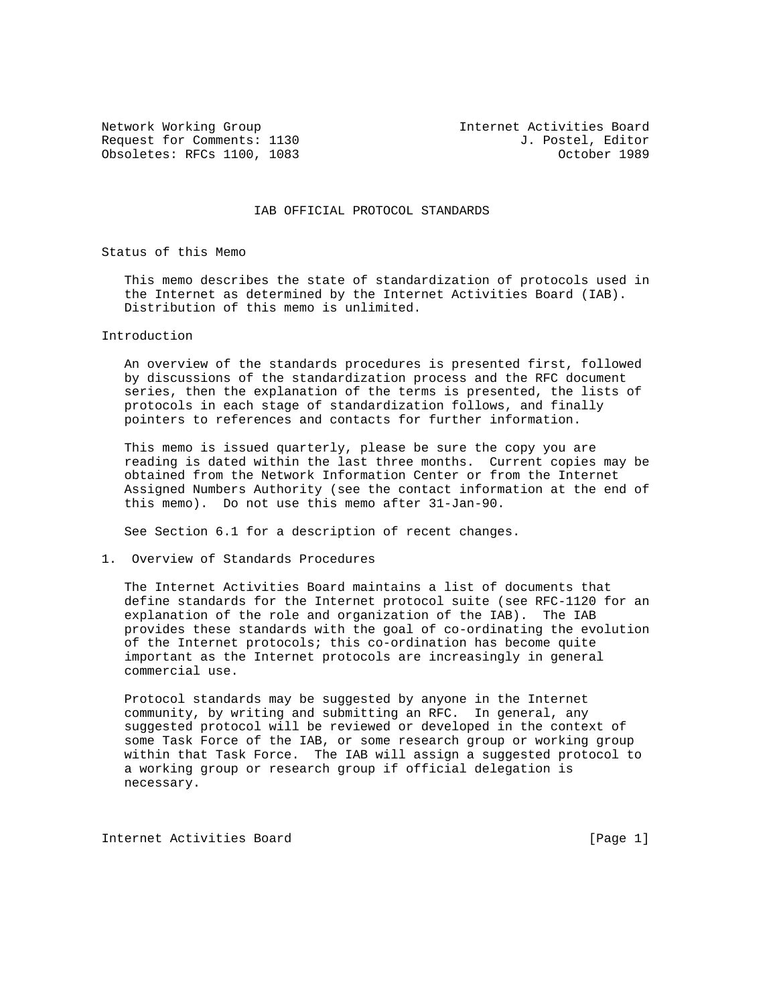Request for Comments: 1130 J. Postel, Editor Obsoletes: RFCs 1100, 1083 Cobsoletes: RFCs 1100, 1083

Network Working Group Internet Activities Board

IAB OFFICIAL PROTOCOL STANDARDS

Status of this Memo

 This memo describes the state of standardization of protocols used in the Internet as determined by the Internet Activities Board (IAB). Distribution of this memo is unlimited.

#### Introduction

 An overview of the standards procedures is presented first, followed by discussions of the standardization process and the RFC document series, then the explanation of the terms is presented, the lists of protocols in each stage of standardization follows, and finally pointers to references and contacts for further information.

 This memo is issued quarterly, please be sure the copy you are reading is dated within the last three months. Current copies may be obtained from the Network Information Center or from the Internet Assigned Numbers Authority (see the contact information at the end of this memo). Do not use this memo after 31-Jan-90.

See Section 6.1 for a description of recent changes.

1. Overview of Standards Procedures

 The Internet Activities Board maintains a list of documents that define standards for the Internet protocol suite (see RFC-1120 for an explanation of the role and organization of the IAB). The IAB provides these standards with the goal of co-ordinating the evolution of the Internet protocols; this co-ordination has become quite important as the Internet protocols are increasingly in general commercial use.

 Protocol standards may be suggested by anyone in the Internet community, by writing and submitting an RFC. In general, any suggested protocol will be reviewed or developed in the context of some Task Force of the IAB, or some research group or working group within that Task Force. The IAB will assign a suggested protocol to a working group or research group if official delegation is necessary.

Internet Activities Board [Page 1]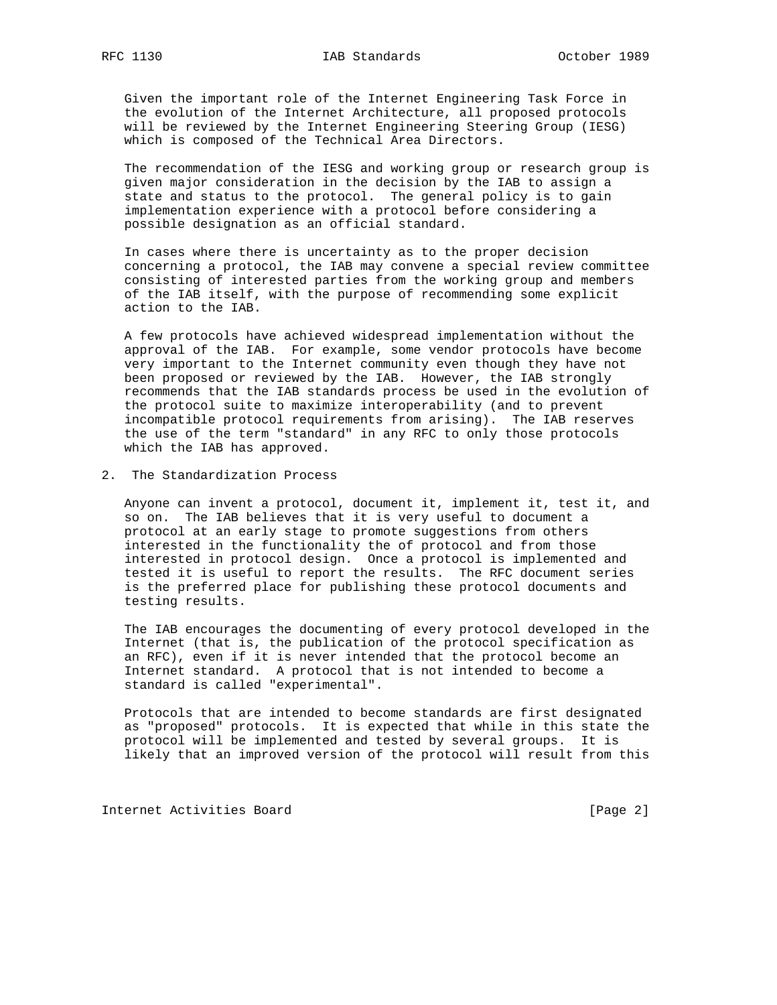Given the important role of the Internet Engineering Task Force in the evolution of the Internet Architecture, all proposed protocols will be reviewed by the Internet Engineering Steering Group (IESG) which is composed of the Technical Area Directors.

 The recommendation of the IESG and working group or research group is given major consideration in the decision by the IAB to assign a state and status to the protocol. The general policy is to gain implementation experience with a protocol before considering a possible designation as an official standard.

 In cases where there is uncertainty as to the proper decision concerning a protocol, the IAB may convene a special review committee consisting of interested parties from the working group and members of the IAB itself, with the purpose of recommending some explicit action to the IAB.

 A few protocols have achieved widespread implementation without the approval of the IAB. For example, some vendor protocols have become very important to the Internet community even though they have not been proposed or reviewed by the IAB. However, the IAB strongly recommends that the IAB standards process be used in the evolution of the protocol suite to maximize interoperability (and to prevent incompatible protocol requirements from arising). The IAB reserves the use of the term "standard" in any RFC to only those protocols which the IAB has approved.

2. The Standardization Process

 Anyone can invent a protocol, document it, implement it, test it, and so on. The IAB believes that it is very useful to document a protocol at an early stage to promote suggestions from others interested in the functionality the of protocol and from those interested in protocol design. Once a protocol is implemented and tested it is useful to report the results. The RFC document series is the preferred place for publishing these protocol documents and testing results.

 The IAB encourages the documenting of every protocol developed in the Internet (that is, the publication of the protocol specification as an RFC), even if it is never intended that the protocol become an Internet standard. A protocol that is not intended to become a standard is called "experimental".

 Protocols that are intended to become standards are first designated as "proposed" protocols. It is expected that while in this state the protocol will be implemented and tested by several groups. It is likely that an improved version of the protocol will result from this

Internet Activities Board [Page 2]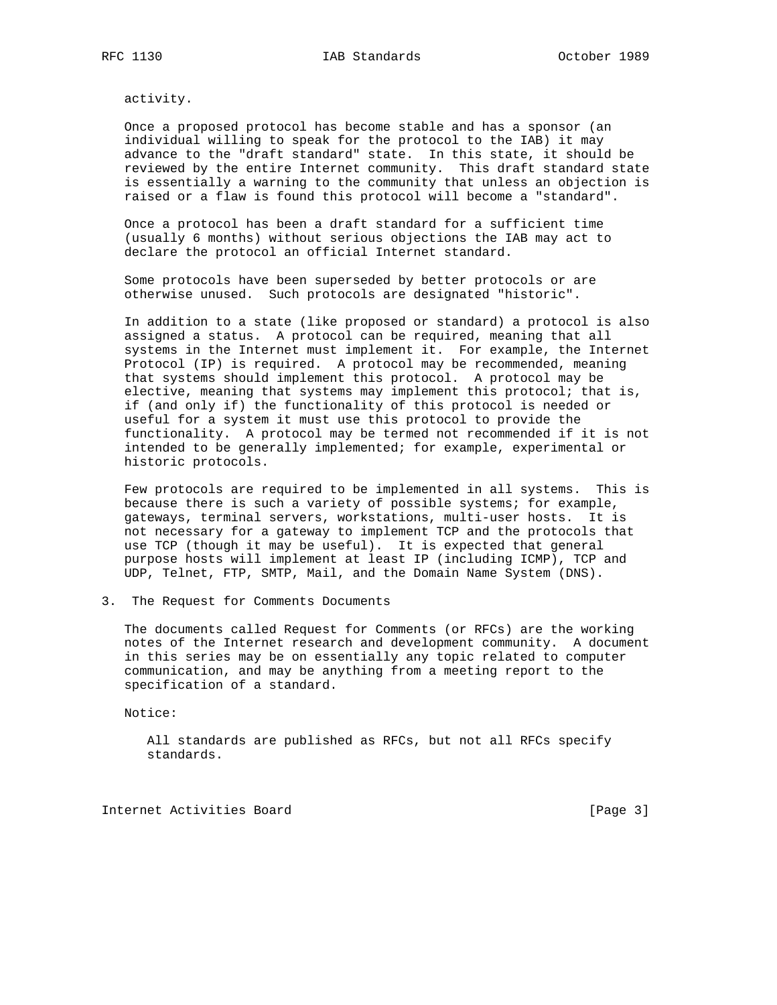activity.

 Once a proposed protocol has become stable and has a sponsor (an individual willing to speak for the protocol to the IAB) it may advance to the "draft standard" state. In this state, it should be reviewed by the entire Internet community. This draft standard state is essentially a warning to the community that unless an objection is raised or a flaw is found this protocol will become a "standard".

 Once a protocol has been a draft standard for a sufficient time (usually 6 months) without serious objections the IAB may act to declare the protocol an official Internet standard.

 Some protocols have been superseded by better protocols or are otherwise unused. Such protocols are designated "historic".

 In addition to a state (like proposed or standard) a protocol is also assigned a status. A protocol can be required, meaning that all systems in the Internet must implement it. For example, the Internet Protocol (IP) is required. A protocol may be recommended, meaning that systems should implement this protocol. A protocol may be elective, meaning that systems may implement this protocol; that is, if (and only if) the functionality of this protocol is needed or useful for a system it must use this protocol to provide the functionality. A protocol may be termed not recommended if it is not intended to be generally implemented; for example, experimental or historic protocols.

 Few protocols are required to be implemented in all systems. This is because there is such a variety of possible systems; for example, gateways, terminal servers, workstations, multi-user hosts. It is not necessary for a gateway to implement TCP and the protocols that use TCP (though it may be useful). It is expected that general purpose hosts will implement at least IP (including ICMP), TCP and UDP, Telnet, FTP, SMTP, Mail, and the Domain Name System (DNS).

3. The Request for Comments Documents

 The documents called Request for Comments (or RFCs) are the working notes of the Internet research and development community. A document in this series may be on essentially any topic related to computer communication, and may be anything from a meeting report to the specification of a standard.

Notice:

 All standards are published as RFCs, but not all RFCs specify standards.

Internet Activities Board [Page 3]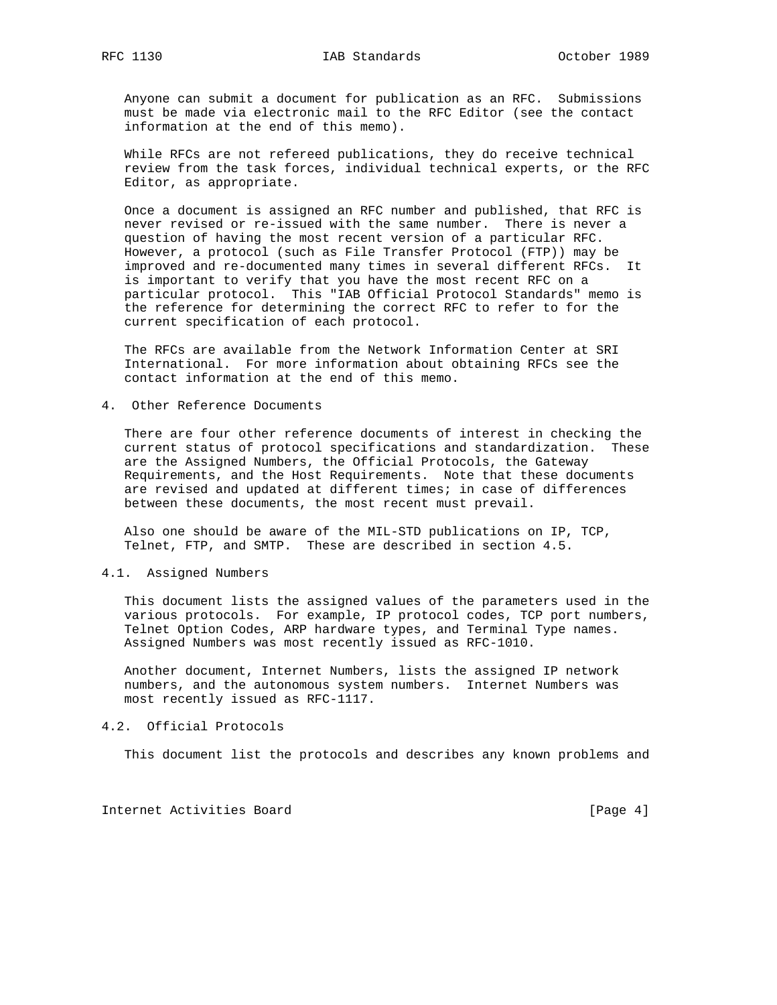Anyone can submit a document for publication as an RFC. Submissions must be made via electronic mail to the RFC Editor (see the contact information at the end of this memo).

 While RFCs are not refereed publications, they do receive technical review from the task forces, individual technical experts, or the RFC Editor, as appropriate.

 Once a document is assigned an RFC number and published, that RFC is never revised or re-issued with the same number. There is never a question of having the most recent version of a particular RFC. However, a protocol (such as File Transfer Protocol (FTP)) may be improved and re-documented many times in several different RFCs. It is important to verify that you have the most recent RFC on a particular protocol. This "IAB Official Protocol Standards" memo is the reference for determining the correct RFC to refer to for the current specification of each protocol.

 The RFCs are available from the Network Information Center at SRI International. For more information about obtaining RFCs see the contact information at the end of this memo.

#### 4. Other Reference Documents

 There are four other reference documents of interest in checking the current status of protocol specifications and standardization. These are the Assigned Numbers, the Official Protocols, the Gateway Requirements, and the Host Requirements. Note that these documents are revised and updated at different times; in case of differences between these documents, the most recent must prevail.

 Also one should be aware of the MIL-STD publications on IP, TCP, Telnet, FTP, and SMTP. These are described in section 4.5.

#### 4.1. Assigned Numbers

 This document lists the assigned values of the parameters used in the various protocols. For example, IP protocol codes, TCP port numbers, Telnet Option Codes, ARP hardware types, and Terminal Type names. Assigned Numbers was most recently issued as RFC-1010.

 Another document, Internet Numbers, lists the assigned IP network numbers, and the autonomous system numbers. Internet Numbers was most recently issued as RFC-1117.

### 4.2. Official Protocols

This document list the protocols and describes any known problems and

Internet Activities Board [Page 4]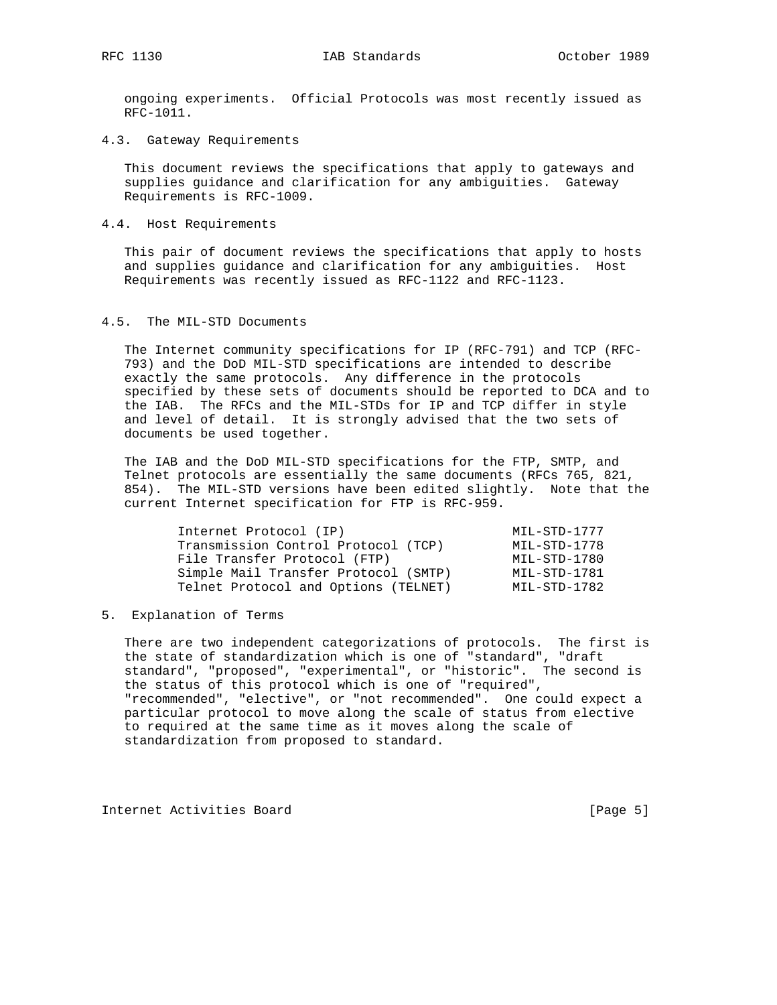ongoing experiments. Official Protocols was most recently issued as RFC-1011.

4.3. Gateway Requirements

 This document reviews the specifications that apply to gateways and supplies guidance and clarification for any ambiguities. Gateway Requirements is RFC-1009.

4.4. Host Requirements

 This pair of document reviews the specifications that apply to hosts and supplies guidance and clarification for any ambiguities. Host Requirements was recently issued as RFC-1122 and RFC-1123.

#### 4.5. The MIL-STD Documents

 The Internet community specifications for IP (RFC-791) and TCP (RFC- 793) and the DoD MIL-STD specifications are intended to describe exactly the same protocols. Any difference in the protocols specified by these sets of documents should be reported to DCA and to the IAB. The RFCs and the MIL-STDs for IP and TCP differ in style and level of detail. It is strongly advised that the two sets of documents be used together.

 The IAB and the DoD MIL-STD specifications for the FTP, SMTP, and Telnet protocols are essentially the same documents (RFCs 765, 821, 854). The MIL-STD versions have been edited slightly. Note that the current Internet specification for FTP is RFC-959.

| Internet Protocol (IP)               | MIL-STD-1777 |
|--------------------------------------|--------------|
| Transmission Control Protocol (TCP)  | MIL-STD-1778 |
| File Transfer Protocol (FTP)         | MIL-STD-1780 |
| Simple Mail Transfer Protocol (SMTP) | MIL-STD-1781 |
| Telnet Protocol and Options (TELNET) | MIL-STD-1782 |

5. Explanation of Terms

 There are two independent categorizations of protocols. The first is the state of standardization which is one of "standard", "draft standard", "proposed", "experimental", or "historic". The second is the status of this protocol which is one of "required", "recommended", "elective", or "not recommended". One could expect a particular protocol to move along the scale of status from elective to required at the same time as it moves along the scale of standardization from proposed to standard.

Internet Activities Board [Page 5]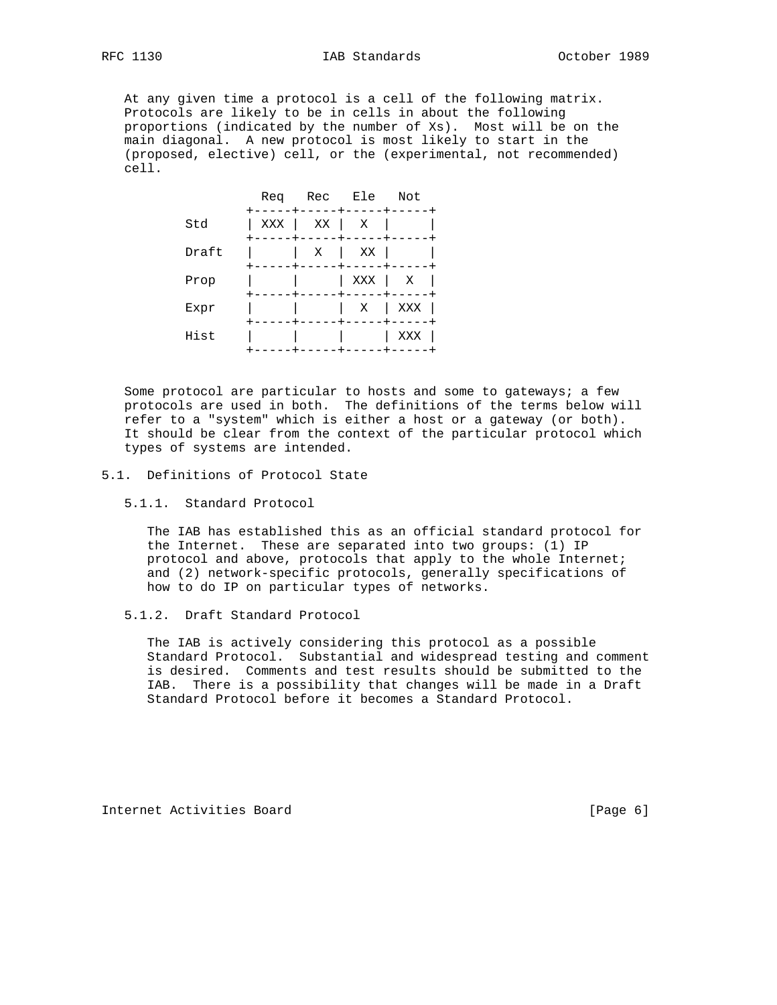At any given time a protocol is a cell of the following matrix. Protocols are likely to be in cells in about the following proportions (indicated by the number of Xs). Most will be on the main diagonal. A new protocol is most likely to start in the (proposed, elective) cell, or the (experimental, not recommended) cell.



 Some protocol are particular to hosts and some to gateways; a few protocols are used in both. The definitions of the terms below will refer to a "system" which is either a host or a gateway (or both). It should be clear from the context of the particular protocol which types of systems are intended.

#### 5.1. Definitions of Protocol State

#### 5.1.1. Standard Protocol

 The IAB has established this as an official standard protocol for the Internet. These are separated into two groups: (1) IP protocol and above, protocols that apply to the whole Internet; and (2) network-specific protocols, generally specifications of how to do IP on particular types of networks.

### 5.1.2. Draft Standard Protocol

 The IAB is actively considering this protocol as a possible Standard Protocol. Substantial and widespread testing and comment is desired. Comments and test results should be submitted to the IAB. There is a possibility that changes will be made in a Draft Standard Protocol before it becomes a Standard Protocol.

Internet Activities Board [Page 6]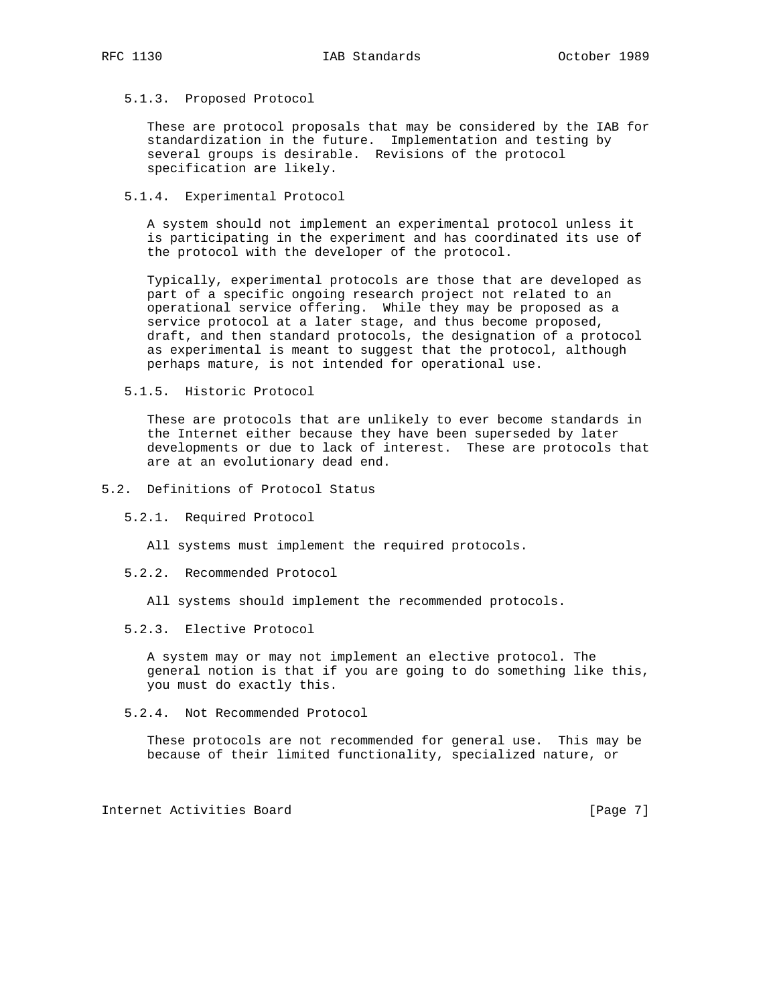#### 5.1.3. Proposed Protocol

 These are protocol proposals that may be considered by the IAB for standardization in the future. Implementation and testing by several groups is desirable. Revisions of the protocol specification are likely.

#### 5.1.4. Experimental Protocol

 A system should not implement an experimental protocol unless it is participating in the experiment and has coordinated its use of the protocol with the developer of the protocol.

 Typically, experimental protocols are those that are developed as part of a specific ongoing research project not related to an operational service offering. While they may be proposed as a service protocol at a later stage, and thus become proposed, draft, and then standard protocols, the designation of a protocol as experimental is meant to suggest that the protocol, although perhaps mature, is not intended for operational use.

5.1.5. Historic Protocol

 These are protocols that are unlikely to ever become standards in the Internet either because they have been superseded by later developments or due to lack of interest. These are protocols that are at an evolutionary dead end.

- 5.2. Definitions of Protocol Status
	- 5.2.1. Required Protocol

All systems must implement the required protocols.

5.2.2. Recommended Protocol

All systems should implement the recommended protocols.

5.2.3. Elective Protocol

 A system may or may not implement an elective protocol. The general notion is that if you are going to do something like this, you must do exactly this.

5.2.4. Not Recommended Protocol

 These protocols are not recommended for general use. This may be because of their limited functionality, specialized nature, or

Internet Activities Board [Page 7]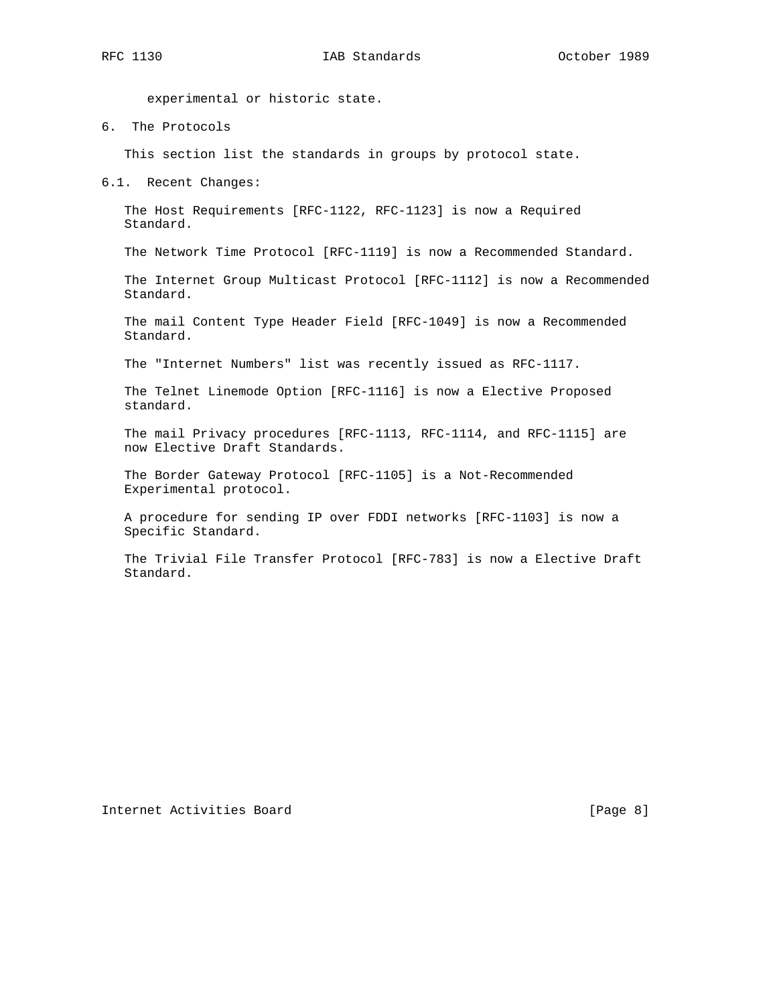experimental or historic state.

6. The Protocols

This section list the standards in groups by protocol state.

6.1. Recent Changes:

 The Host Requirements [RFC-1122, RFC-1123] is now a Required Standard.

The Network Time Protocol [RFC-1119] is now a Recommended Standard.

 The Internet Group Multicast Protocol [RFC-1112] is now a Recommended Standard.

 The mail Content Type Header Field [RFC-1049] is now a Recommended Standard.

The "Internet Numbers" list was recently issued as RFC-1117.

 The Telnet Linemode Option [RFC-1116] is now a Elective Proposed standard.

 The mail Privacy procedures [RFC-1113, RFC-1114, and RFC-1115] are now Elective Draft Standards.

 The Border Gateway Protocol [RFC-1105] is a Not-Recommended Experimental protocol.

 A procedure for sending IP over FDDI networks [RFC-1103] is now a Specific Standard.

 The Trivial File Transfer Protocol [RFC-783] is now a Elective Draft Standard.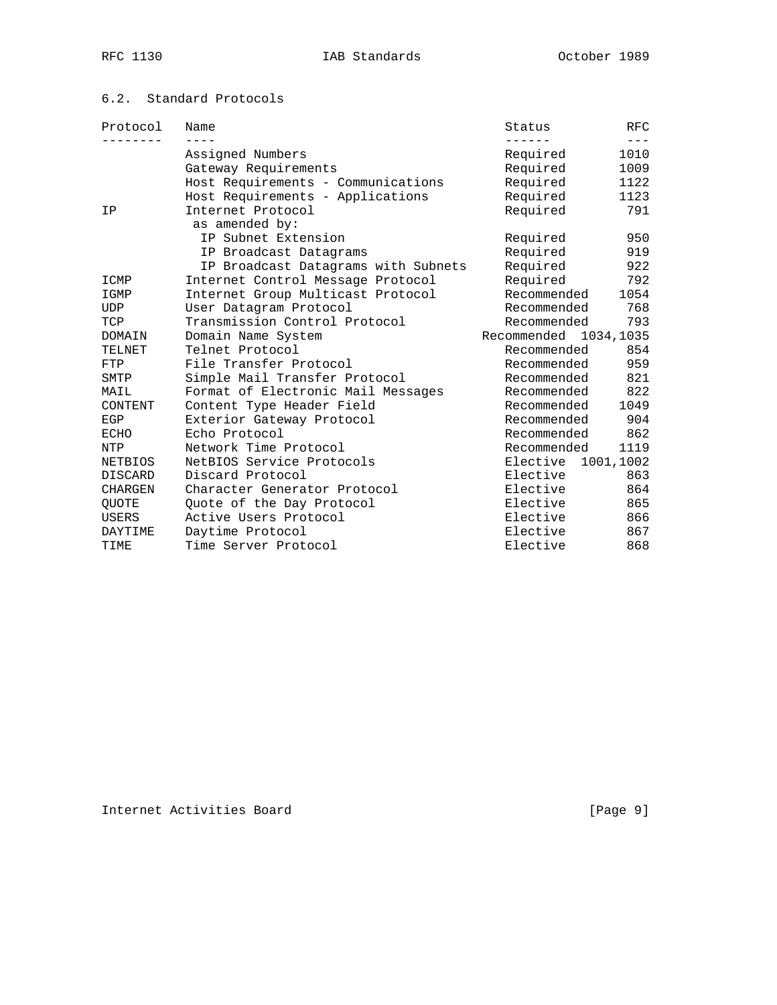# 6.2. Standard Protocols

| Protocol     | Name                                | Status                | <b>RFC</b>    |
|--------------|-------------------------------------|-----------------------|---------------|
|              | Assigned Numbers                    | ------<br>Required    | $---$<br>1010 |
|              | Gateway Requirements                | Required              | 1009          |
|              | Host Requirements - Communications  | Required              | 1122          |
|              | Host Requirements - Applications    | Required              | 1123          |
| ΙP           | Internet Protocol                   | Required              | 791           |
|              | as amended by:                      |                       |               |
|              | IP Subnet Extension                 | Required              | 950           |
|              | IP Broadcast Datagrams              | Required              | 919           |
|              | IP Broadcast Datagrams with Subnets | Required              | 922           |
| ICMP         | Internet Control Message Protocol   | Required              | 792           |
| IGMP         | Internet Group Multicast Protocol   | Recommended           | 1054          |
| <b>UDP</b>   | User Datagram Protocol              | Recommended           | 768           |
| TCP          | Transmission Control Protocol       | Recommended           | 793           |
| DOMAIN       | Domain Name System                  | Recommended 1034,1035 |               |
| TELNET       | Telnet Protocol                     | Recommended           | 854           |
| FTP          | File Transfer Protocol              | Recommended           | 959           |
| SMTP         | Simple Mail Transfer Protocol       | Recommended           | 821           |
| MAIL         | Format of Electronic Mail Messages  | Recommended           | 822           |
| CONTENT      | Content Type Header Field           | Recommended           | 1049          |
| EGP          | Exterior Gateway Protocol           | Recommended           | 904           |
| ECHO         | Echo Protocol                       | Recommended           | 862           |
| NTP          | Network Time Protocol               | Recommended           | 1119          |
| NETBIOS      | NetBIOS Service Protocols           | Elective 1001,1002    |               |
| DISCARD      | Discard Protocol                    | Elective              | 863           |
| CHARGEN      | Character Generator Protocol        | Elective              | 864           |
| QUOTE        | Quote of the Day Protocol           | Elective              | 865           |
| <b>USERS</b> | Active Users Protocol               | Elective              | 866           |
| DAYTIME      | Daytime Protocol                    | Elective              | 867           |
| TIME         | Time Server Protocol                | Elective              | 868           |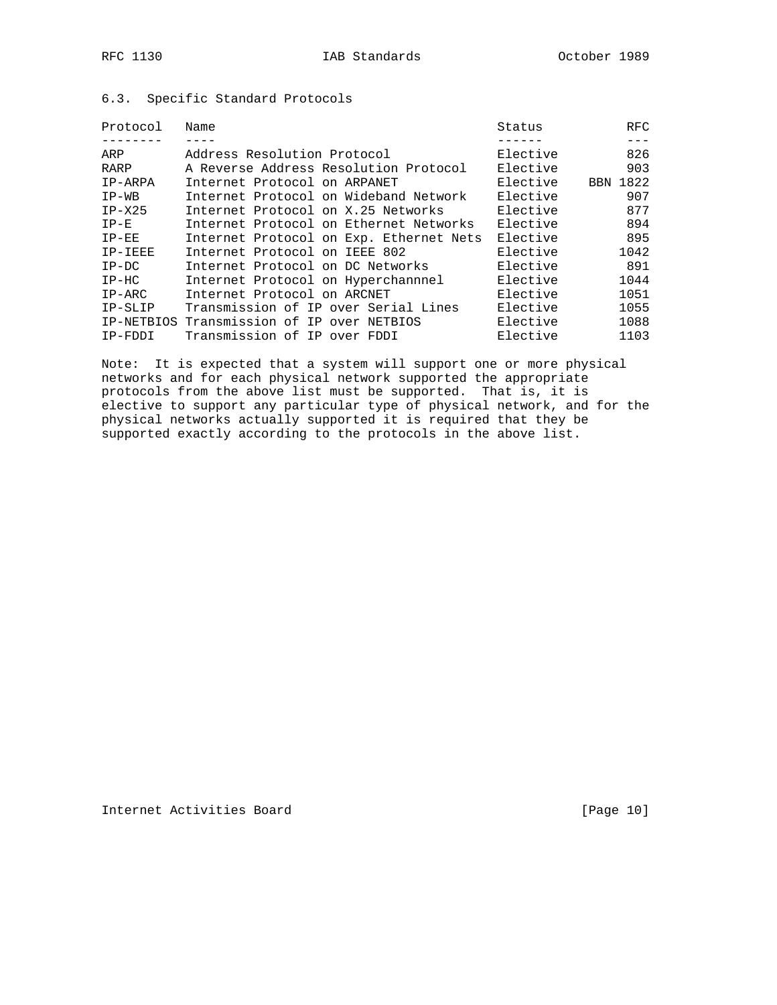| Protocol | Name                                       | Status   | RFC      |
|----------|--------------------------------------------|----------|----------|
|          |                                            |          |          |
| ARP      | Address Resolution Protocol                | Elective | 826      |
| RARP     | A Reverse Address Resolution Protocol      | Elective | 903      |
| IP-ARPA  | Internet Protocol on ARPANET               | Elective | BBN 1822 |
| $IP-WB$  | Internet Protocol on Wideband Network      | Elective | 907      |
| $IP-X25$ | Internet Protocol on X.25 Networks         | Elective | 877      |
| $IP-E$   | Internet Protocol on Ethernet Networks     | Elective | 894      |
| $IP-EE$  | Internet Protocol on Exp. Ethernet Nets    | Elective | 895      |
| IP-IEEE  | Internet Protocol on IEEE 802              | Elective | 1042     |
| $IP-DC$  | Internet Protocol on DC Networks           | Elective | 891      |
| $IP-HC$  | Internet Protocol on Hyperchannnel         | Elective | 1044     |
| $IP-ARC$ | Internet Protocol on ARCNET                | Elective | 1051     |
| IP-SLIP  | Transmission of IP over Serial Lines       | Elective | 1055     |
|          | IP-NETBIOS Transmission of IP over NETBIOS | Elective | 1088     |
| IP-FDDI  | Transmission of IP over FDDI               | Elective | 1103     |

## 6.3. Specific Standard Protocols

Note: It is expected that a system will support one or more physical networks and for each physical network supported the appropriate protocols from the above list must be supported. That is, it is elective to support any particular type of physical network, and for the physical networks actually supported it is required that they be supported exactly according to the protocols in the above list.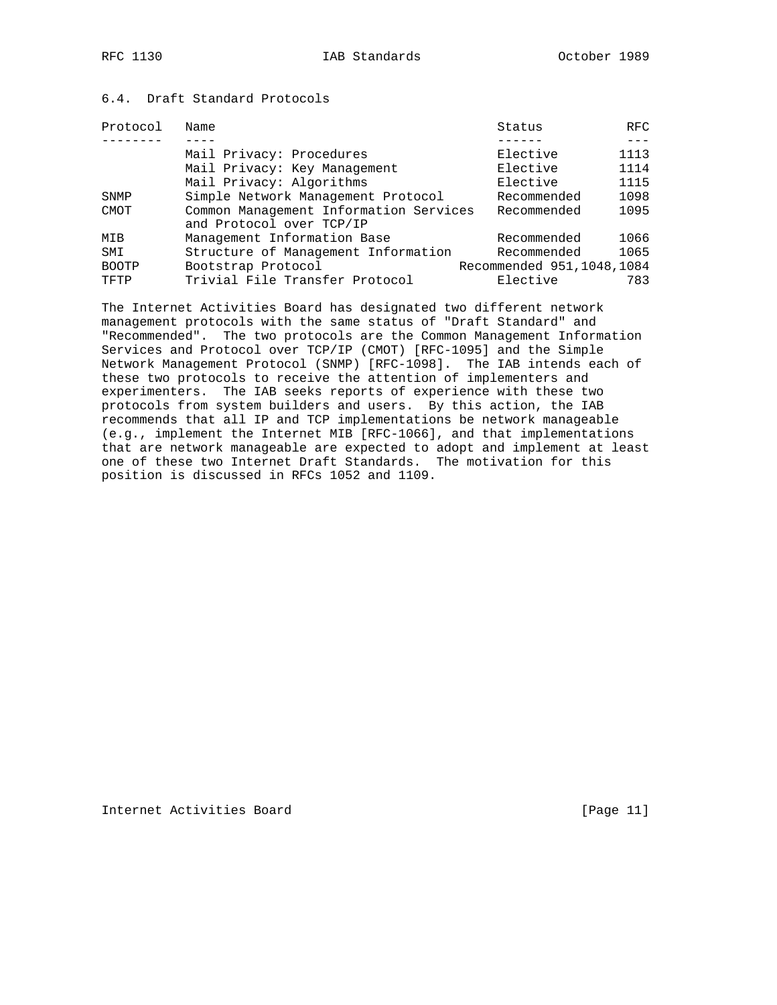## 6.4. Draft Standard Protocols

| Protocol     | Name                                                               | Status                      | RFC  |
|--------------|--------------------------------------------------------------------|-----------------------------|------|
|              |                                                                    |                             |      |
|              | Mail Privacy: Procedures                                           | Elective                    | 1113 |
|              | Mail Privacy: Key Management                                       | Elective                    | 1114 |
|              | Mail Privacy: Algorithms                                           | Elective                    | 1115 |
| SNMP         | Simple Network Management Protocol                                 | Recommended                 | 1098 |
| CMOT         | Common Management Information Services<br>and Protocol over TCP/IP | Recommended                 | 1095 |
| MIB          | Management Information Base                                        | Recommended                 | 1066 |
| SMI          | Structure of Management Information                                | Recommended                 | 1065 |
| <b>BOOTP</b> | Bootstrap Protocol                                                 | Recommended 951, 1048, 1084 |      |
| TFTP         | Trivial File Transfer Protocol                                     | Elective                    | 783  |

The Internet Activities Board has designated two different network management protocols with the same status of "Draft Standard" and "Recommended". The two protocols are the Common Management Information Services and Protocol over TCP/IP (CMOT) [RFC-1095] and the Simple Network Management Protocol (SNMP) [RFC-1098]. The IAB intends each of these two protocols to receive the attention of implementers and experimenters. The IAB seeks reports of experience with these two protocols from system builders and users. By this action, the IAB recommends that all IP and TCP implementations be network manageable (e.g., implement the Internet MIB [RFC-1066], and that implementations that are network manageable are expected to adopt and implement at least one of these two Internet Draft Standards. The motivation for this position is discussed in RFCs 1052 and 1109.

Internet Activities Board [Page 11]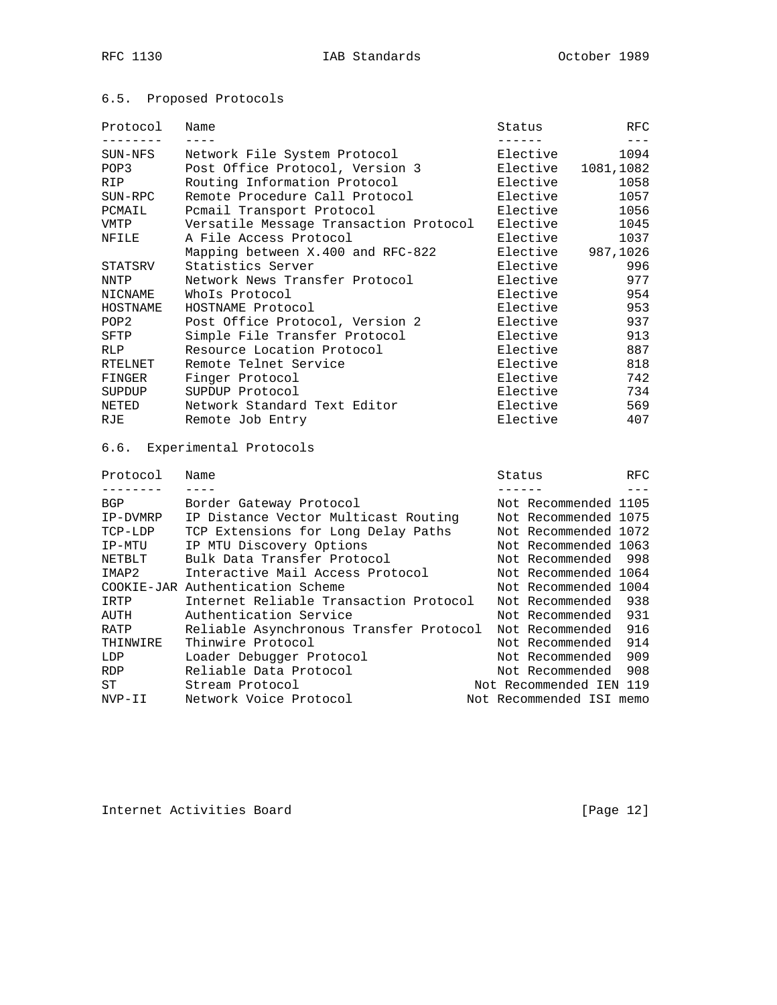### 6.5. Proposed Protocols

| Protocol         | Name                                    | Status   |                      | RFC<br>$---$ |  |
|------------------|-----------------------------------------|----------|----------------------|--------------|--|
| SUN-NFS          | Network File System Protocol            |          | Elective             | 1094         |  |
| POP3             | Post Office Protocol, Version 3         |          | Elective             | 1081,1082    |  |
| <b>RIP</b>       | Routing Information Protocol            |          | Elective             | 1058         |  |
| SUN-RPC          | Remote Procedure Call Protocol          | Elective | 1057                 |              |  |
| PCMAIL           | Pcmail Transport Protocol               |          | Elective             | 1056         |  |
| <b>VMTP</b>      | Versatile Message Transaction Protocol  | Elective | 1045                 |              |  |
| NFILE            | A File Access Protocol                  |          | Elective             | 1037         |  |
|                  | Mapping between X.400 and RFC-822       |          | Elective             | 987,1026     |  |
| STATSRV          | Statistics Server                       |          | Elective             | 996          |  |
| <b>NNTP</b>      | Network News Transfer Protocol          |          | Elective             | 977          |  |
| <b>NICNAME</b>   | WhoIs Protocol                          |          | Elective             | 954          |  |
| HOSTNAME         | HOSTNAME Protocol                       |          | Elective             | 953          |  |
| POP <sub>2</sub> | Post Office Protocol, Version 2         |          | Elective             | 937          |  |
| SFTP             | Simple File Transfer Protocol           |          | Elective             | 913          |  |
| <b>RLP</b>       | Resource Location Protocol              |          | Elective             |              |  |
| <b>RTELNET</b>   | Remote Telnet Service                   |          | Elective             |              |  |
| FINGER           | Finger Protocol                         |          | Elective             | 742          |  |
| SUPDUP           | SUPDUP Protocol                         |          | Elective             | 734          |  |
| NETED            | Network Standard Text Editor            |          | Elective             | 569          |  |
| RJE              | Remote Job Entry                        | Elective |                      | 407          |  |
|                  | 6.6. Experimental Protocols             |          |                      |              |  |
| Protocol         | Name                                    | Status   |                      | RFC          |  |
|                  | $- - - -$                               | -------  |                      |              |  |
| BGP              | Border Gateway Protocol                 |          | Not Recommended 1105 |              |  |
| IP-DVMRP         | IP Distance Vector Multicast Routing    |          | Not Recommended 1075 |              |  |
| TCP-LDP          | TCP Extensions for Long Delay Paths     |          | Not Recommended 1072 |              |  |
| IP-MTU           | IP MTU Discovery Options                |          | Not Recommended 1063 |              |  |
| NETBLT           | Bulk Data Transfer Protocol             |          | Not Recommended      | 998          |  |
| IMAP2            | Interactive Mail Access Protocol        |          | Not Recommended 1064 |              |  |
|                  | COOKIE-JAR Authentication Scheme        |          | Not Recommended 1004 |              |  |
| IRTP             | Internet Reliable Transaction Protocol  |          | Not Recommended      | 938          |  |
| AUTH             | Authentication Service                  |          | Not Recommended      | 931          |  |
| RATP             | Reliable Asynchronous Transfer Protocol |          | Not Recommended      | 916          |  |
| THINWIRE         | Thinwire Protocol                       |          | Not Recommended      | 914          |  |

LDP Loader Debugger Protocol Not Recommended 909 RDP Reliable Data Protocol Not Recommended 908 ST Stream Protocol Not Recommended IEN 119 NVP-II Network Voice Protocol Not Recommended ISI memo

Internet Activities Board [Page 12]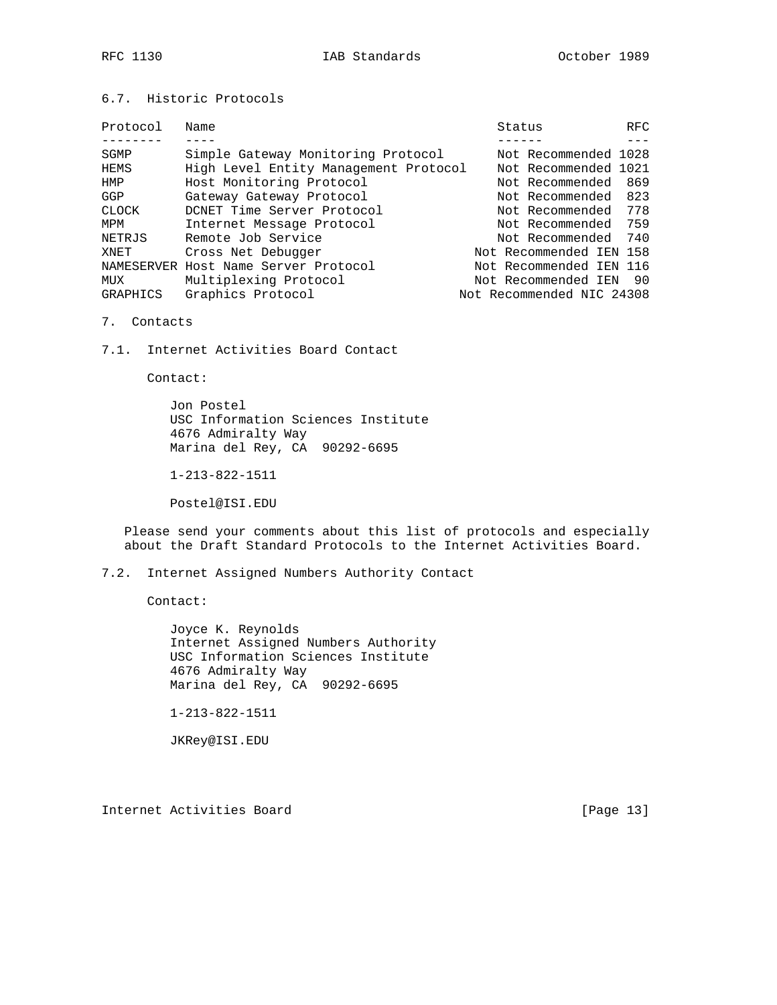### 6.7. Historic Protocols

| Protocol     | Name                                  | Status |                           | <b>RFC</b> |
|--------------|---------------------------------------|--------|---------------------------|------------|
|              |                                       |        |                           |            |
| SGMP         | Simple Gateway Monitoring Protocol    |        | Not Recommended 1028      |            |
| HEMS         | High Level Entity Management Protocol |        | Not Recommended 1021      |            |
| HMP          | Host Monitoring Protocol              |        | Not Recommended           | 869        |
| GGP          | Gateway Gateway Protocol              |        | Not Recommended 823       |            |
| <b>CLOCK</b> | DCNET Time Server Protocol            |        | Not Recommended           | 778        |
| MPM          | Internet Message Protocol             |        | Not Recommended 759       |            |
| NETRJS       | Remote Job Service                    |        | Not Recommended 740       |            |
| XNET         | Cross Net Debugger                    |        | Not Recommended IEN 158   |            |
|              | NAMESERVER Host Name Server Protocol  |        | Not Recommended IEN 116   |            |
| MUX          | Multiplexing Protocol                 |        | Not Recommended IEN 90    |            |
| GRAPHICS     | Graphics Protocol                     |        | Not Recommended NIC 24308 |            |

7. Contacts

7.1. Internet Activities Board Contact

Contact:

 Jon Postel USC Information Sciences Institute 4676 Admiralty Way Marina del Rey, CA 90292-6695

1-213-822-1511

Postel@ISI.EDU

 Please send your comments about this list of protocols and especially about the Draft Standard Protocols to the Internet Activities Board.

7.2. Internet Assigned Numbers Authority Contact

Contact:

 Joyce K. Reynolds Internet Assigned Numbers Authority USC Information Sciences Institute 4676 Admiralty Way Marina del Rey, CA 90292-6695

1-213-822-1511

JKRey@ISI.EDU

Internet Activities Board [Page 13]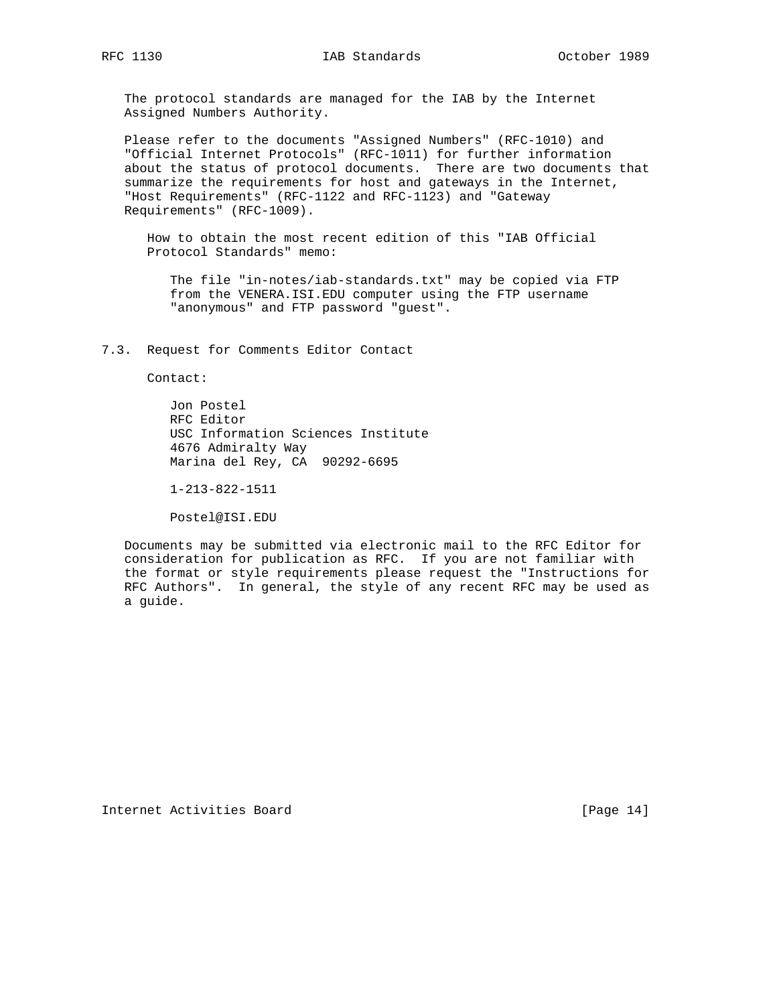The protocol standards are managed for the IAB by the Internet Assigned Numbers Authority.

 Please refer to the documents "Assigned Numbers" (RFC-1010) and "Official Internet Protocols" (RFC-1011) for further information about the status of protocol documents. There are two documents that summarize the requirements for host and gateways in the Internet, "Host Requirements" (RFC-1122 and RFC-1123) and "Gateway Requirements" (RFC-1009).

 How to obtain the most recent edition of this "IAB Official Protocol Standards" memo:

 The file "in-notes/iab-standards.txt" may be copied via FTP from the VENERA.ISI.EDU computer using the FTP username "anonymous" and FTP password "guest".

7.3. Request for Comments Editor Contact

Contact:

 Jon Postel RFC Editor USC Information Sciences Institute 4676 Admiralty Way Marina del Rey, CA 90292-6695

1-213-822-1511

Postel@ISI.EDU

 Documents may be submitted via electronic mail to the RFC Editor for consideration for publication as RFC. If you are not familiar with the format or style requirements please request the "Instructions for RFC Authors". In general, the style of any recent RFC may be used as a guide.

Internet Activities Board [Page 14]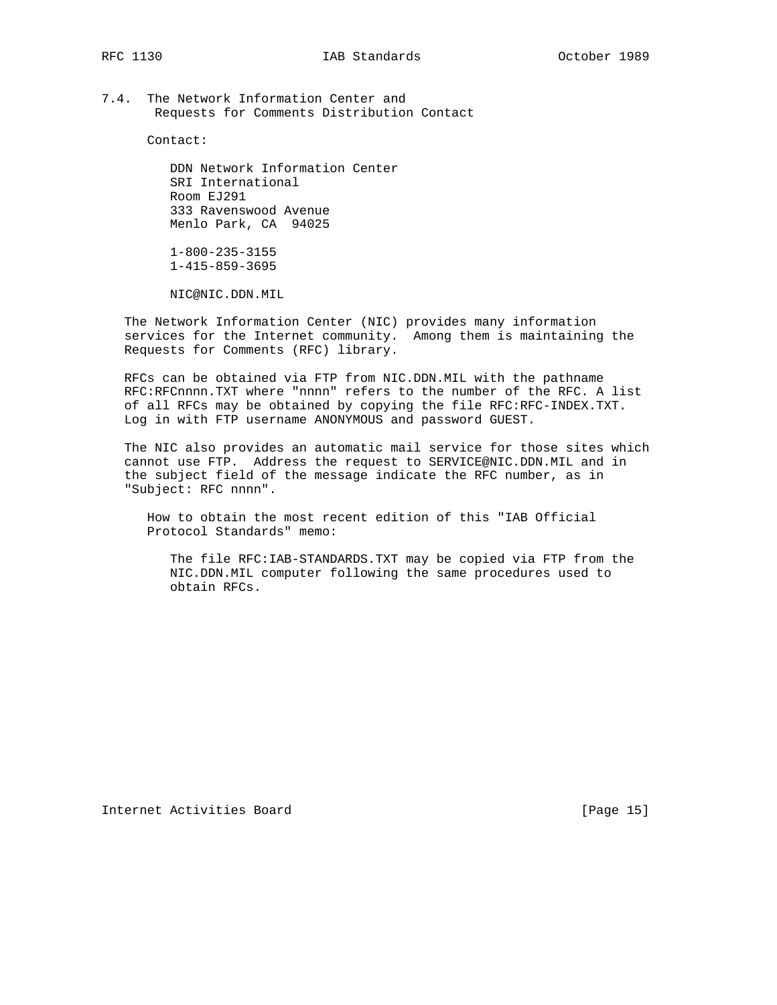7.4. The Network Information Center and Requests for Comments Distribution Contact

Contact:

 DDN Network Information Center SRI International Room EJ291 333 Ravenswood Avenue Menlo Park, CA 94025

 1-800-235-3155 1-415-859-3695

NIC@NIC.DDN.MIL

 The Network Information Center (NIC) provides many information services for the Internet community. Among them is maintaining the Requests for Comments (RFC) library.

 RFCs can be obtained via FTP from NIC.DDN.MIL with the pathname RFC:RFCnnnn.TXT where "nnnn" refers to the number of the RFC. A list of all RFCs may be obtained by copying the file RFC:RFC-INDEX.TXT. Log in with FTP username ANONYMOUS and password GUEST.

 The NIC also provides an automatic mail service for those sites which cannot use FTP. Address the request to SERVICE@NIC.DDN.MIL and in the subject field of the message indicate the RFC number, as in "Subject: RFC nnnn".

 How to obtain the most recent edition of this "IAB Official Protocol Standards" memo:

 The file RFC:IAB-STANDARDS.TXT may be copied via FTP from the NIC.DDN.MIL computer following the same procedures used to obtain RFCs.

Internet Activities Board [Page 15]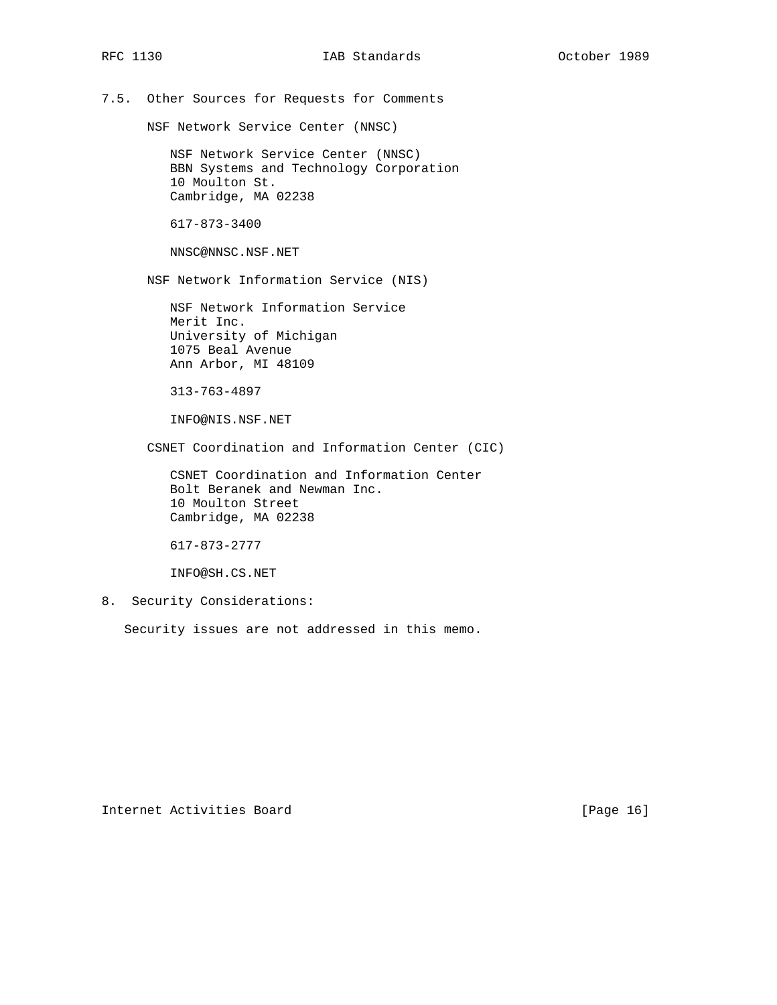# 7.5. Other Sources for Requests for Comments

NSF Network Service Center (NNSC)

 NSF Network Service Center (NNSC) BBN Systems and Technology Corporation 10 Moulton St. Cambridge, MA 02238

617-873-3400

NNSC@NNSC.NSF.NET

NSF Network Information Service (NIS)

 NSF Network Information Service Merit Inc. University of Michigan 1075 Beal Avenue Ann Arbor, MI 48109

313-763-4897

INFO@NIS.NSF.NET

CSNET Coordination and Information Center (CIC)

 CSNET Coordination and Information Center Bolt Beranek and Newman Inc. 10 Moulton Street Cambridge, MA 02238

617-873-2777

INFO@SH.CS.NET

8. Security Considerations:

Security issues are not addressed in this memo.

Internet Activities Board [Page 16]